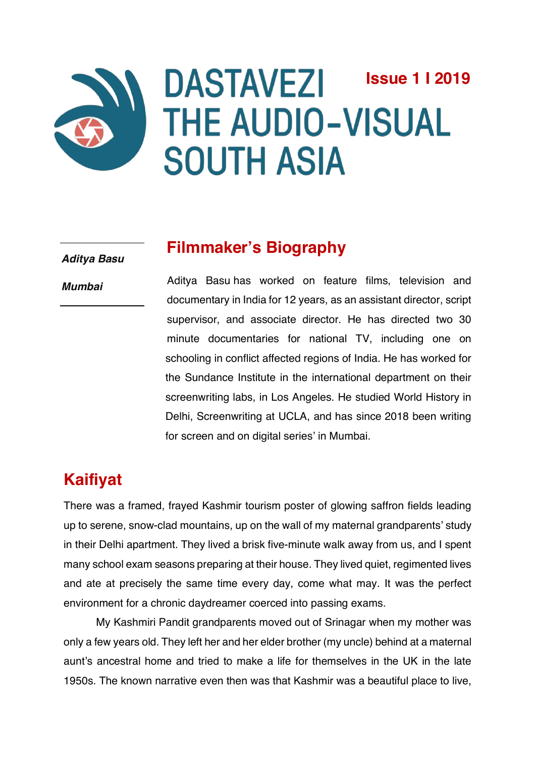# **DASTAVEZI Issue 1 I 2019THE AUDIO-VISUAL SOUTH ASIA**

*Aditya Basu*

*Mumbai*

## **Filmmaker's Biography**

Aditya Basu has worked on feature films, television and documentary in India for 12 years, as an assistant director, script supervisor, and associate director. He has directed two 30 minute documentaries for national TV, including one on schooling in conflict affected regions of India. He has worked for the Sundance Institute in the international department on their screenwriting labs, in Los Angeles. He studied World History in Delhi, Screenwriting at UCLA, and has since 2018 been writing for screen and on digital series' in Mumbai.

# **Kaifiyat**

There was a framed, frayed Kashmir tourism poster of glowing saffron fields leading up to serene, snow-clad mountains, up on the wall of my maternal grandparents' study in their Delhi apartment. They lived a brisk five-minute walk away from us, and I spent many school exam seasons preparing at their house. They lived quiet, regimented lives and ate at precisely the same time every day, come what may. It was the perfect environment for a chronic daydreamer coerced into passing exams.

My Kashmiri Pandit grandparents moved out of Srinagar when my mother was only a few years old. They left her and her elder brother (my uncle) behind at a maternal aunt's ancestral home and tried to make a life for themselves in the UK in the late 1950s. The known narrative even then was that Kashmir was a beautiful place to live,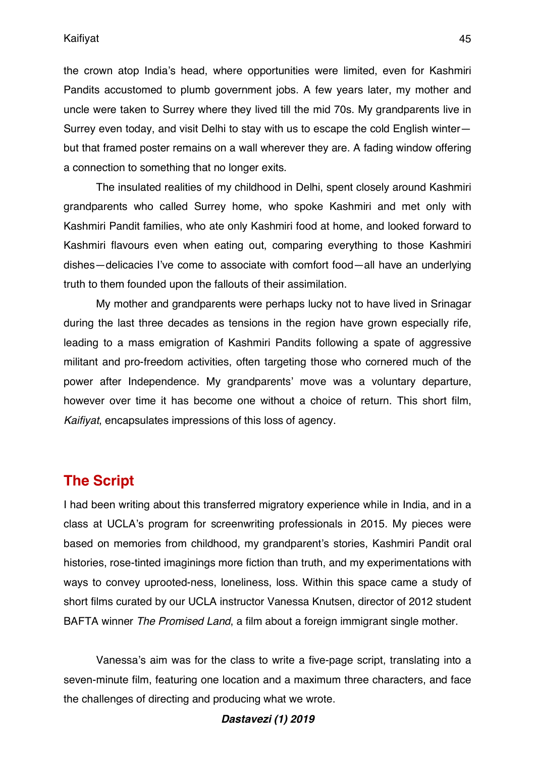Kaifiyat

the crown atop India's head, where opportunities were limited, even for Kashmiri Pandits accustomed to plumb government jobs. A few years later, my mother and uncle were taken to Surrey where they lived till the mid 70s. My grandparents live in Surrey even today, and visit Delhi to stay with us to escape the cold English winter but that framed poster remains on a wall wherever they are. A fading window offering a connection to something that no longer exits.

The insulated realities of my childhood in Delhi, spent closely around Kashmiri grandparents who called Surrey home, who spoke Kashmiri and met only with Kashmiri Pandit families, who ate only Kashmiri food at home, and looked forward to Kashmiri flavours even when eating out, comparing everything to those Kashmiri dishes—delicacies I've come to associate with comfort food—all have an underlying truth to them founded upon the fallouts of their assimilation.

My mother and grandparents were perhaps lucky not to have lived in Srinagar during the last three decades as tensions in the region have grown especially rife, leading to a mass emigration of Kashmiri Pandits following a spate of aggressive militant and pro-freedom activities, often targeting those who cornered much of the power after Independence. My grandparents' move was a voluntary departure, however over time it has become one without a choice of return. This short film, *Kaifiyat*, encapsulates impressions of this loss of agency.

## **The Script**

I had been writing about this transferred migratory experience while in India, and in a class at UCLA's program for screenwriting professionals in 2015. My pieces were based on memories from childhood, my grandparent's stories, Kashmiri Pandit oral histories, rose-tinted imaginings more fiction than truth, and my experimentations with ways to convey uprooted-ness, loneliness, loss. Within this space came a study of short films curated by our UCLA instructor Vanessa Knutsen, director of 2012 student BAFTA winner *The Promised Land*, a film about a foreign immigrant single mother.

Vanessa's aim was for the class to write a five-page script, translating into a seven-minute film, featuring one location and a maximum three characters, and face the challenges of directing and producing what we wrote.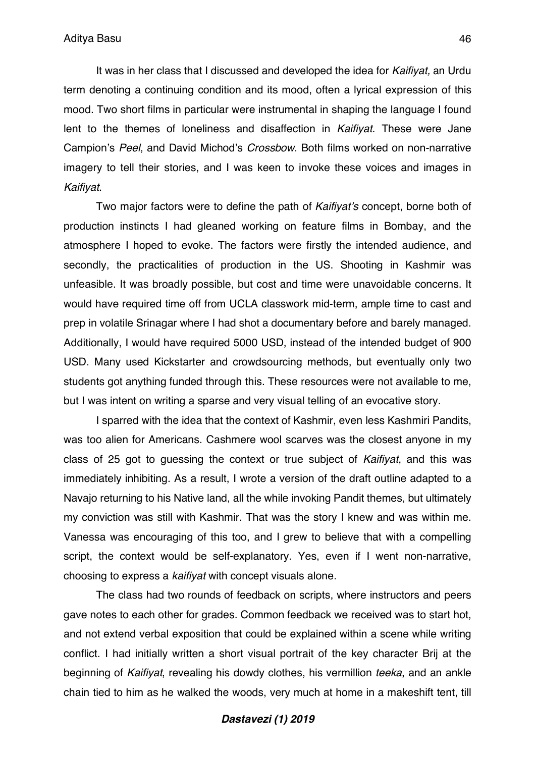It was in her class that I discussed and developed the idea for *Kaifiyat,* an Urdu term denoting a continuing condition and its mood, often a lyrical expression of this mood. Two short films in particular were instrumental in shaping the language I found lent to the themes of loneliness and disaffection in *Kaifiyat*. These were Jane Campion's *Peel*, and David Michod's *Crossbow*. Both films worked on non-narrative imagery to tell their stories, and I was keen to invoke these voices and images in *Kaifiyat*.

Two major factors were to define the path of *Kaifiyat's* concept, borne both of production instincts I had gleaned working on feature films in Bombay, and the atmosphere I hoped to evoke. The factors were firstly the intended audience, and secondly, the practicalities of production in the US. Shooting in Kashmir was unfeasible. It was broadly possible, but cost and time were unavoidable concerns. It would have required time off from UCLA classwork mid-term, ample time to cast and prep in volatile Srinagar where I had shot a documentary before and barely managed. Additionally, I would have required 5000 USD, instead of the intended budget of 900 USD. Many used Kickstarter and crowdsourcing methods, but eventually only two students got anything funded through this. These resources were not available to me, but I was intent on writing a sparse and very visual telling of an evocative story.

I sparred with the idea that the context of Kashmir, even less Kashmiri Pandits, was too alien for Americans. Cashmere wool scarves was the closest anyone in my class of 25 got to guessing the context or true subject of *Kaifiyat*, and this was immediately inhibiting. As a result, I wrote a version of the draft outline adapted to a Navajo returning to his Native land, all the while invoking Pandit themes, but ultimately my conviction was still with Kashmir. That was the story I knew and was within me. Vanessa was encouraging of this too, and I grew to believe that with a compelling script, the context would be self-explanatory. Yes, even if I went non-narrative, choosing to express a *kaifiyat* with concept visuals alone.

The class had two rounds of feedback on scripts, where instructors and peers gave notes to each other for grades. Common feedback we received was to start hot, and not extend verbal exposition that could be explained within a scene while writing conflict. I had initially written a short visual portrait of the key character Brij at the beginning of *Kaifiyat*, revealing his dowdy clothes, his vermillion *teeka*, and an ankle chain tied to him as he walked the woods, very much at home in a makeshift tent, till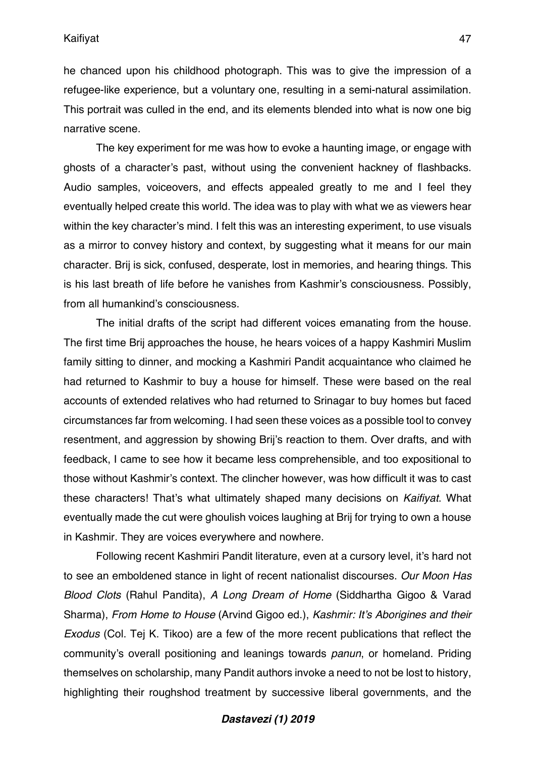#### Kaifiyat

he chanced upon his childhood photograph. This was to give the impression of a refugee-like experience, but a voluntary one, resulting in a semi-natural assimilation. This portrait was culled in the end, and its elements blended into what is now one big narrative scene.

The key experiment for me was how to evoke a haunting image, or engage with ghosts of a character's past, without using the convenient hackney of flashbacks. Audio samples, voiceovers, and effects appealed greatly to me and I feel they eventually helped create this world. The idea was to play with what we as viewers hear within the key character's mind. I felt this was an interesting experiment, to use visuals as a mirror to convey history and context, by suggesting what it means for our main character. Brij is sick, confused, desperate, lost in memories, and hearing things. This is his last breath of life before he vanishes from Kashmir's consciousness. Possibly, from all humankind's consciousness.

The initial drafts of the script had different voices emanating from the house. The first time Brij approaches the house, he hears voices of a happy Kashmiri Muslim family sitting to dinner, and mocking a Kashmiri Pandit acquaintance who claimed he had returned to Kashmir to buy a house for himself. These were based on the real accounts of extended relatives who had returned to Srinagar to buy homes but faced circumstances far from welcoming. I had seen these voices as a possible tool to convey resentment, and aggression by showing Brij's reaction to them. Over drafts, and with feedback, I came to see how it became less comprehensible, and too expositional to those without Kashmir's context. The clincher however, was how difficult it was to cast these characters! That's what ultimately shaped many decisions on *Kaifiyat*. What eventually made the cut were ghoulish voices laughing at Brij for trying to own a house in Kashmir. They are voices everywhere and nowhere.

Following recent Kashmiri Pandit literature, even at a cursory level, it's hard not to see an emboldened stance in light of recent nationalist discourses. *Our Moon Has Blood Clots* (Rahul Pandita), *A Long Dream of Home* (Siddhartha Gigoo & Varad Sharma), *From Home to House* (Arvind Gigoo ed.), *Kashmir: It's Aborigines and their Exodus* (Col. Tej K. Tikoo) are a few of the more recent publications that reflect the community's overall positioning and leanings towards *panun*, or homeland. Priding themselves on scholarship, many Pandit authors invoke a need to not be lost to history, highlighting their roughshod treatment by successive liberal governments, and the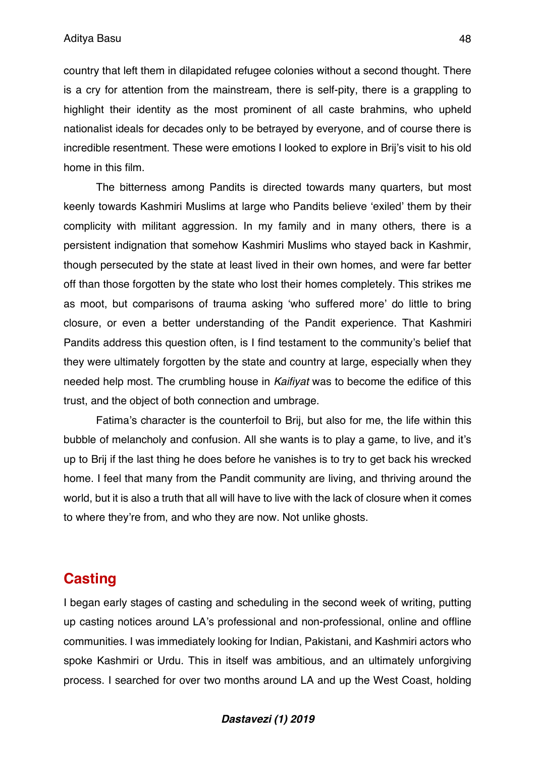country that left them in dilapidated refugee colonies without a second thought. There is a cry for attention from the mainstream, there is self-pity, there is a grappling to highlight their identity as the most prominent of all caste brahmins, who upheld nationalist ideals for decades only to be betrayed by everyone, and of course there is incredible resentment. These were emotions I looked to explore in Brij's visit to his old home in this film.

The bitterness among Pandits is directed towards many quarters, but most keenly towards Kashmiri Muslims at large who Pandits believe 'exiled' them by their complicity with militant aggression. In my family and in many others, there is a persistent indignation that somehow Kashmiri Muslims who stayed back in Kashmir, though persecuted by the state at least lived in their own homes, and were far better off than those forgotten by the state who lost their homes completely. This strikes me as moot, but comparisons of trauma asking 'who suffered more' do little to bring closure, or even a better understanding of the Pandit experience. That Kashmiri Pandits address this question often, is I find testament to the community's belief that they were ultimately forgotten by the state and country at large, especially when they needed help most. The crumbling house in *Kaifiyat* was to become the edifice of this trust, and the object of both connection and umbrage.

Fatima's character is the counterfoil to Brij, but also for me, the life within this bubble of melancholy and confusion. All she wants is to play a game, to live, and it's up to Brij if the last thing he does before he vanishes is to try to get back his wrecked home. I feel that many from the Pandit community are living, and thriving around the world, but it is also a truth that all will have to live with the lack of closure when it comes to where they're from, and who they are now. Not unlike ghosts.

## **Casting**

I began early stages of casting and scheduling in the second week of writing, putting up casting notices around LA's professional and non-professional, online and offline communities. I was immediately looking for Indian, Pakistani, and Kashmiri actors who spoke Kashmiri or Urdu. This in itself was ambitious, and an ultimately unforgiving process. I searched for over two months around LA and up the West Coast, holding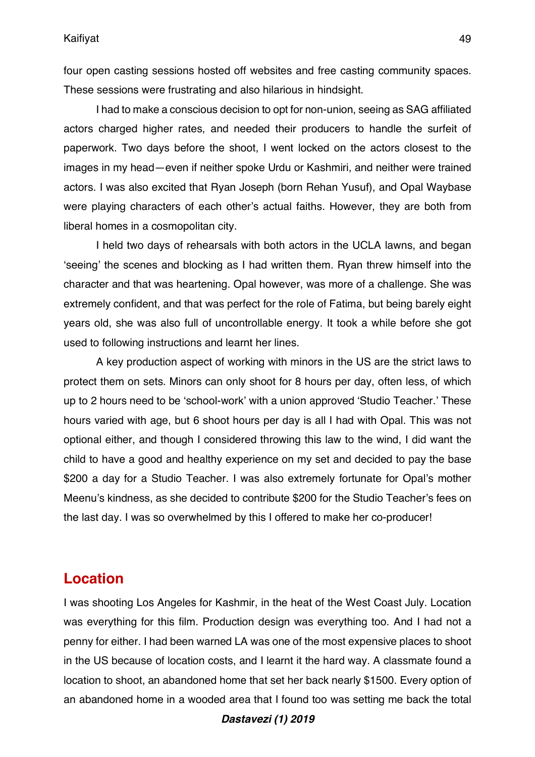four open casting sessions hosted off websites and free casting community spaces. These sessions were frustrating and also hilarious in hindsight.

I had to make a conscious decision to opt for non-union, seeing as SAG affiliated actors charged higher rates, and needed their producers to handle the surfeit of paperwork. Two days before the shoot, I went locked on the actors closest to the images in my head—even if neither spoke Urdu or Kashmiri, and neither were trained actors. I was also excited that Ryan Joseph (born Rehan Yusuf), and Opal Waybase were playing characters of each other's actual faiths. However, they are both from liberal homes in a cosmopolitan city.

I held two days of rehearsals with both actors in the UCLA lawns, and began 'seeing' the scenes and blocking as I had written them. Ryan threw himself into the character and that was heartening. Opal however, was more of a challenge. She was extremely confident, and that was perfect for the role of Fatima, but being barely eight years old, she was also full of uncontrollable energy. It took a while before she got used to following instructions and learnt her lines.

A key production aspect of working with minors in the US are the strict laws to protect them on sets. Minors can only shoot for 8 hours per day, often less, of which up to 2 hours need to be 'school-work' with a union approved 'Studio Teacher.' These hours varied with age, but 6 shoot hours per day is all I had with Opal. This was not optional either, and though I considered throwing this law to the wind, I did want the child to have a good and healthy experience on my set and decided to pay the base \$200 a day for a Studio Teacher. I was also extremely fortunate for Opal's mother Meenu's kindness, as she decided to contribute \$200 for the Studio Teacher's fees on the last day. I was so overwhelmed by this I offered to make her co-producer!

## **Location**

I was shooting Los Angeles for Kashmir, in the heat of the West Coast July. Location was everything for this film. Production design was everything too. And I had not a penny for either. I had been warned LA was one of the most expensive places to shoot in the US because of location costs, and I learnt it the hard way. A classmate found a location to shoot, an abandoned home that set her back nearly \$1500. Every option of an abandoned home in a wooded area that I found too was setting me back the total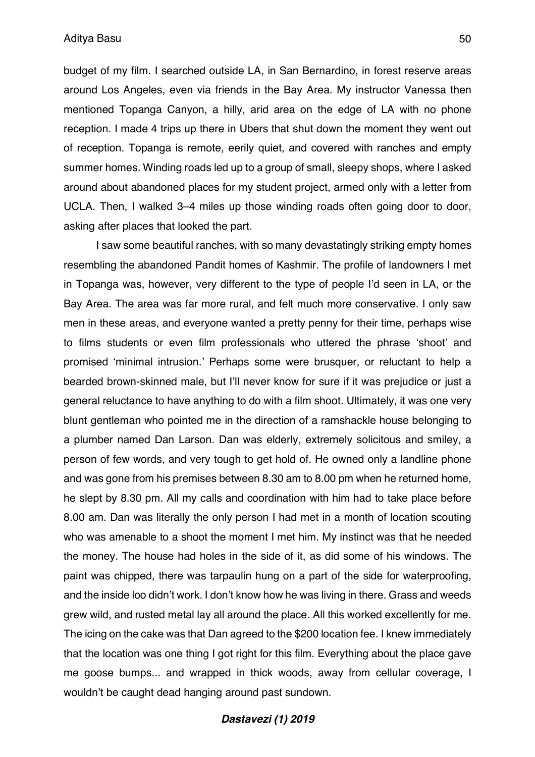budget of my film. I searched outside LA, in San Bernardino, in forest reserve areas around Los Angeles, even via friends in the Bay Area. My instructor Vanessa then mentioned Topanga Canyon, a hilly, arid area on the edge of LA with no phone reception. I made 4 trips up there in Ubers that shut down the moment they went out of reception. Topanga is remote, eerily quiet, and covered with ranches and empty summer homes. Winding roads led up to a group of small, sleepy shops, where I asked around about abandoned places for my student project, armed only with a letter from UCLA. Then, I walked 3–4 miles up those winding roads often going door to door, asking after places that looked the part.

I saw some beautiful ranches, with so many devastatingly striking empty homes resembling the abandoned Pandit homes of Kashmir. The profile of landowners I met in Topanga was, however, very different to the type of people I'd seen in LA, or the Bay Area. The area was far more rural, and felt much more conservative. I only saw men in these areas, and everyone wanted a pretty penny for their time, perhaps wise to films students or even film professionals who uttered the phrase 'shoot' and promised 'minimal intrusion.' Perhaps some were brusquer, or reluctant to help a bearded brown-skinned male, but I'll never know for sure if it was prejudice or just a general reluctance to have anything to do with a film shoot. Ultimately, it was one very blunt gentleman who pointed me in the direction of a ramshackle house belonging to a plumber named Dan Larson. Dan was elderly, extremely solicitous and smiley, a person of few words, and very tough to get hold of. He owned only a landline phone and was gone from his premises between 8.30 am to 8.00 pm when he returned home, he slept by 8.30 pm. All my calls and coordination with him had to take place before 8.00 am. Dan was literally the only person I had met in a month of location scouting who was amenable to a shoot the moment I met him. My instinct was that he needed the money. The house had holes in the side of it, as did some of his windows. The paint was chipped, there was tarpaulin hung on a part of the side for waterproofing, and the inside loo didn't work. I don't know how he was living in there. Grass and weeds grew wild, and rusted metal lay all around the place. All this worked excellently for me. The icing on the cake was that Dan agreed to the \$200 location fee. I knew immediately that the location was one thing I got right for this film. Everything about the place gave me goose bumps... and wrapped in thick woods, away from cellular coverage, I wouldn't be caught dead hanging around past sundown.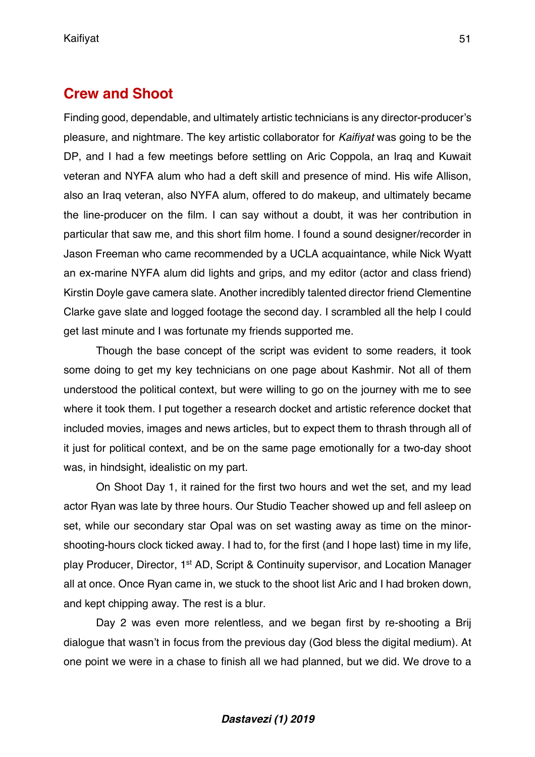## **Crew and Shoot**

Finding good, dependable, and ultimately artistic technicians is any director-producer's pleasure, and nightmare. The key artistic collaborator for *Kaifiyat* was going to be the DP, and I had a few meetings before settling on Aric Coppola, an Iraq and Kuwait veteran and NYFA alum who had a deft skill and presence of mind. His wife Allison, also an Iraq veteran, also NYFA alum, offered to do makeup, and ultimately became the line-producer on the film. I can say without a doubt, it was her contribution in particular that saw me, and this short film home. I found a sound designer/recorder in Jason Freeman who came recommended by a UCLA acquaintance, while Nick Wyatt an ex-marine NYFA alum did lights and grips, and my editor (actor and class friend) Kirstin Doyle gave camera slate. Another incredibly talented director friend Clementine Clarke gave slate and logged footage the second day. I scrambled all the help I could get last minute and I was fortunate my friends supported me.

Though the base concept of the script was evident to some readers, it took some doing to get my key technicians on one page about Kashmir. Not all of them understood the political context, but were willing to go on the journey with me to see where it took them. I put together a research docket and artistic reference docket that included movies, images and news articles, but to expect them to thrash through all of it just for political context, and be on the same page emotionally for a two-day shoot was, in hindsight, idealistic on my part.

On Shoot Day 1, it rained for the first two hours and wet the set, and my lead actor Ryan was late by three hours. Our Studio Teacher showed up and fell asleep on set, while our secondary star Opal was on set wasting away as time on the minorshooting-hours clock ticked away. I had to, for the first (and I hope last) time in my life, play Producer, Director, 1st AD, Script & Continuity supervisor, and Location Manager all at once. Once Ryan came in, we stuck to the shoot list Aric and I had broken down, and kept chipping away. The rest is a blur.

Day 2 was even more relentless, and we began first by re-shooting a Brij dialogue that wasn't in focus from the previous day (God bless the digital medium). At one point we were in a chase to finish all we had planned, but we did. We drove to a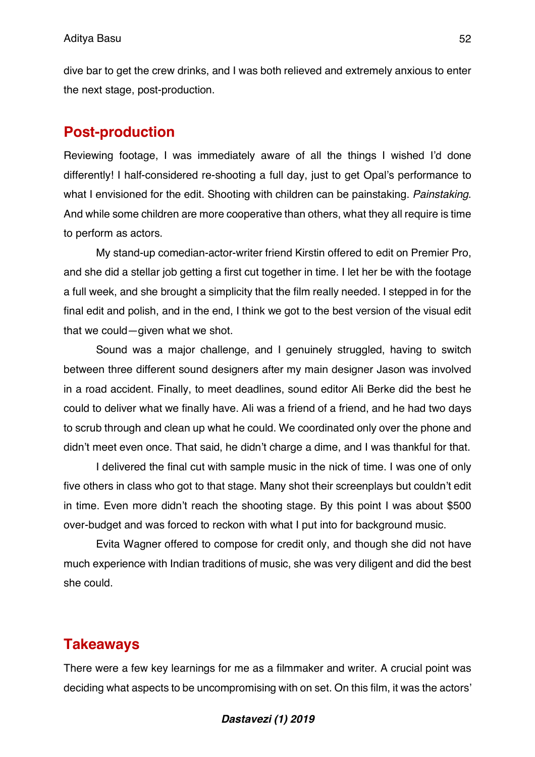dive bar to get the crew drinks, and I was both relieved and extremely anxious to enter the next stage, post-production.

## **Post-production**

Reviewing footage, I was immediately aware of all the things I wished I'd done differently! I half-considered re-shooting a full day, just to get Opal's performance to what I envisioned for the edit. Shooting with children can be painstaking. *Painstaking*. And while some children are more cooperative than others, what they all require is time to perform as actors.

My stand-up comedian-actor-writer friend Kirstin offered to edit on Premier Pro, and she did a stellar job getting a first cut together in time. I let her be with the footage a full week, and she brought a simplicity that the film really needed. I stepped in for the final edit and polish, and in the end, I think we got to the best version of the visual edit that we could—given what we shot.

Sound was a major challenge, and I genuinely struggled, having to switch between three different sound designers after my main designer Jason was involved in a road accident. Finally, to meet deadlines, sound editor Ali Berke did the best he could to deliver what we finally have. Ali was a friend of a friend, and he had two days to scrub through and clean up what he could. We coordinated only over the phone and didn't meet even once. That said, he didn't charge a dime, and I was thankful for that.

I delivered the final cut with sample music in the nick of time. I was one of only five others in class who got to that stage. Many shot their screenplays but couldn't edit in time. Even more didn't reach the shooting stage. By this point I was about \$500 over-budget and was forced to reckon with what I put into for background music.

Evita Wagner offered to compose for credit only, and though she did not have much experience with Indian traditions of music, she was very diligent and did the best she could.

## **Takeaways**

There were a few key learnings for me as a filmmaker and writer. A crucial point was deciding what aspects to be uncompromising with on set. On this film, it was the actors'